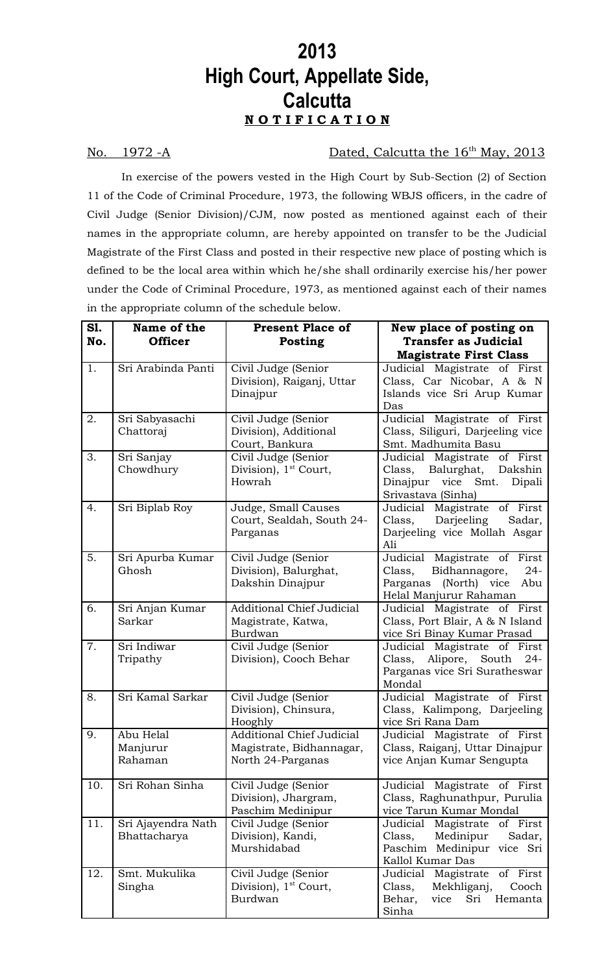## **2013 High Court, Appellate Side, Calcutta N O T I F I C A T I O N**

## No. 1972 -A Dated, Calcutta the 16<sup>th</sup> May, 2013

In exercise of the powers vested in the High Court by Sub-Section (2) of Section 11 of the Code of Criminal Procedure, 1973, the following WBJS officers, in the cadre of Civil Judge (Senior Division)/CJM, now posted as mentioned against each of their names in the appropriate column, are hereby appointed on transfer to be the Judicial Magistrate of the First Class and posted in their respective new place of posting which is defined to be the local area within which he/she shall ordinarily exercise his/her power under the Code of Criminal Procedure, 1973, as mentioned against each of their names in the appropriate column of the schedule below.

| <b>S1.</b><br>No. | Name of the<br><b>Officer</b>      | <b>Present Place of</b><br><b>Posting</b>                                         | New place of posting on<br><b>Transfer as Judicial</b><br><b>Magistrate First Class</b>                                        |
|-------------------|------------------------------------|-----------------------------------------------------------------------------------|--------------------------------------------------------------------------------------------------------------------------------|
| 1.                | Sri Arabinda Panti                 | Civil Judge (Senior<br>Division), Raiganj, Uttar<br>Dinajpur                      | Judicial Magistrate of First<br>Class, Car Nicobar, A & N<br>Islands vice Sri Arup Kumar<br>Das                                |
| 2.                | Sri Sabyasachi<br>Chattoraj        | Civil Judge (Senior<br>Division), Additional<br>Court, Bankura                    | Judicial Magistrate of First<br>Class, Siliguri, Darjeeling vice<br>Smt. Madhumita Basu                                        |
| 3.                | Sri Sanjay<br>Chowdhury            | Civil Judge (Senior<br>Division), 1 <sup>st</sup> Court,<br>Howrah                | Judicial Magistrate of First<br>Balurghat,<br>Dakshin<br>Class,<br>Dinajpur vice Smt.<br>Dipali<br>Srivastava (Sinha)          |
| 4.                | Sri Biplab Roy                     | Judge, Small Causes<br>Court, Sealdah, South 24-<br>Parganas                      | Judicial Magistrate of First<br>Class,<br>Sadar,<br>Darjeeling<br>Darjeeling vice Mollah Asgar<br>Ali                          |
| 5.                | Sri Apurba Kumar<br>Ghosh          | Civil Judge (Senior<br>Division), Balurghat,<br>Dakshin Dinajpur                  | Judicial Magistrate of First<br>Class,<br>Bidhannagore,<br>$24 -$<br>(North) vice<br>Parganas<br>Abu<br>Helal Manjurur Rahaman |
| 6.                | Sri Anjan Kumar<br>Sarkar          | <b>Additional Chief Judicial</b><br>Magistrate, Katwa,<br>Burdwan                 | Judicial Magistrate of First<br>Class, Port Blair, A & N Island<br>vice Sri Binay Kumar Prasad                                 |
| 7.                | Sri Indiwar<br>Tripathy            | Civil Judge (Senior<br>Division), Cooch Behar                                     | Judicial Magistrate of First<br>Class,<br>Alipore, South<br>$24 -$<br>Parganas vice Sri Suratheswar<br>Mondal                  |
| 8.                | Sri Kamal Sarkar                   | Civil Judge (Senior<br>Division), Chinsura,<br>Hooghly                            | Judicial Magistrate of First<br>Class, Kalimpong, Darjeeling<br>vice Sri Rana Dam                                              |
| 9.                | Abu Helal<br>Manjurur<br>Rahaman   | <b>Additional Chief Judicial</b><br>Magistrate, Bidhannagar,<br>North 24-Parganas | Judicial Magistrate of First<br>Class, Raiganj, Uttar Dinajpur<br>vice Anjan Kumar Sengupta                                    |
| 10.               | Sri Rohan Sinha                    | Civil Judge (Senior<br>Division), Jhargram,<br>Paschim Medinipur                  | Judicial Magistrate of First<br>Class, Raghunathpur, Purulia<br>vice Tarun Kumar Mondal                                        |
| 11.               | Sri Ajayendra Nath<br>Bhattacharya | Civil Judge (Senior<br>Division), Kandi,<br>Murshidabad                           | Judicial Magistrate of First<br>Class,<br>Medinipur<br>Sadar,<br>Paschim Medinipur vice Sri<br>Kallol Kumar Das                |
| 12.               | Smt. Mukulika<br>Singha            | Civil Judge (Senior<br>Division), $1st$ Court,<br>Burdwan                         | Judicial Magistrate<br>of First<br>Mekhliganj,<br>Class,<br>Cooch<br>Behar,<br>Hemanta<br>vice<br>Sri<br>Sinha                 |